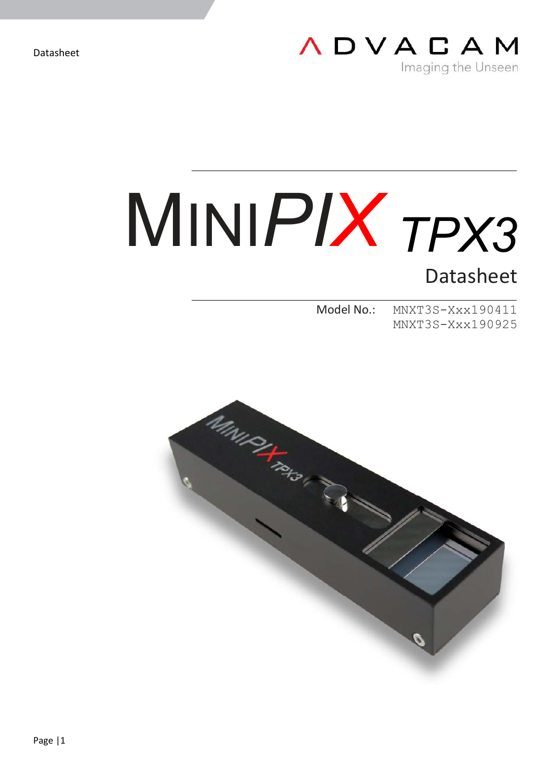

# MINI*PIX TPX3*

Datasheet

Model No.: MNXT3S-Xxx190411 MNXT3S-Xxx190925

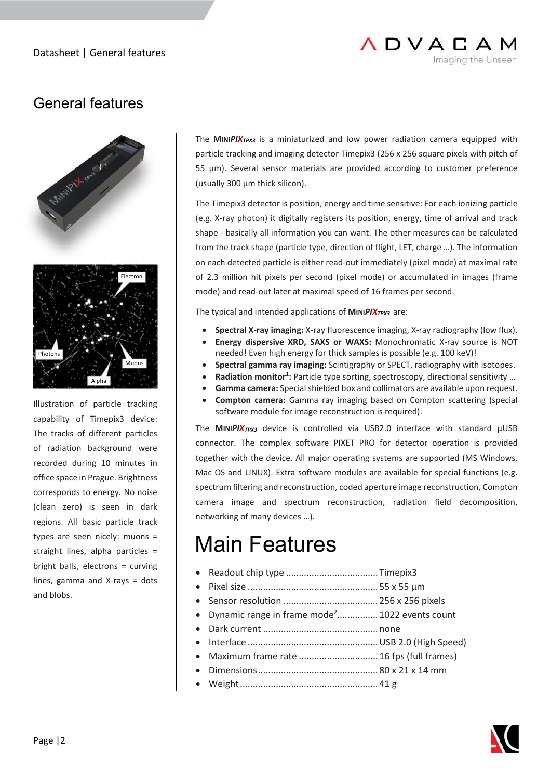

# General features



Illustration of particle tracking capability of Timepix3 device: The tracks of different particles of radiation background were recorded during 10 minutes in office space in Prague. Brightness corresponds to energy. No noise (clean zero) is seen in dark regions. All basic particle track types are seen nicely: muons = straight lines, alpha particles = bright balls, electrons = curving lines, gamma and X-rays = dots and blobs.

The **MINI***PIXTPX3* is a miniaturized and low power radiation camera equipped with particle tracking and imaging detector Timepix3 (256 x 256 square pixels with pitch of 55 μm). Several sensor materials are provided according to customer preference (usually 300 μm thick silicon).

The Timepix3 detector is position, energy and time sensitive: For each ionizing particle (e.g. X-ray photon) it digitally registers its position, energy, time of arrival and track shape - basically all information you can want. The other measures can be calculated from the track shape (particle type, direction of flight, LET, charge …). The information on each detected particle is either read-out immediately (pixel mode) at maximal rate of 2.3 million hit pixels per second (pixel mode) or accumulated in images (frame mode) and read-out later at maximal speed of 16 frames per second.

The typical and intended applications of **MINI***PIXTPX3* are:

- **Spectral X-ray imaging:** X-ray fluorescence imaging, X-ray radiography (low flux).
- **Energy dispersive XRD, SAXS or WAXS:** Monochromatic X-ray source is NOT needed! Even high energy for thick samples is possible (e.g. 100 keV)!
- **Spectral gamma ray imaging:** Scintigraphy or SPECT, radiography with isotopes.
- **Radiation monitor<sup>1</sup>:** Particle type sorting, spectroscopy, directional sensitivity ...
- **Gamma camera:** Special shielded box and collimators are available upon request.
- **Compton camera:** Gamma ray imaging based on Compton scattering (special software module for image reconstruction is required).

The **MINI***PIXTPX3* device is controlled via USB2.0 interface with standard µUSB connector. The complex software PIXET PRO for detector operation is provided together with the device. All major operating systems are supported (MS Windows, Mac OS and LINUX). Extra software modules are available for special functions (e.g. spectrum filtering and reconstruction, coded aperture image reconstruction, Compton camera image and spectrum reconstruction, radiation field decomposition, networking of many devices …).

# Main Features

- Readout chip type .................................... Timepix3
- Pixel size ................................................... 55 x 55 μm
- Sensor resolution ..................................... 256 x 256 pixels
- Dynamic range in frame mode<sup>2</sup>................ 1022 events count
- Dark current ............................................. none
- Interface ................................................... USB 2.0 (High Speed)
- Maximum frame rate ............................... 16 fps (full frames)
- Dimensions ............................................... 80 x 21 x 14 mm
	- Weight ...................................................... 41 g

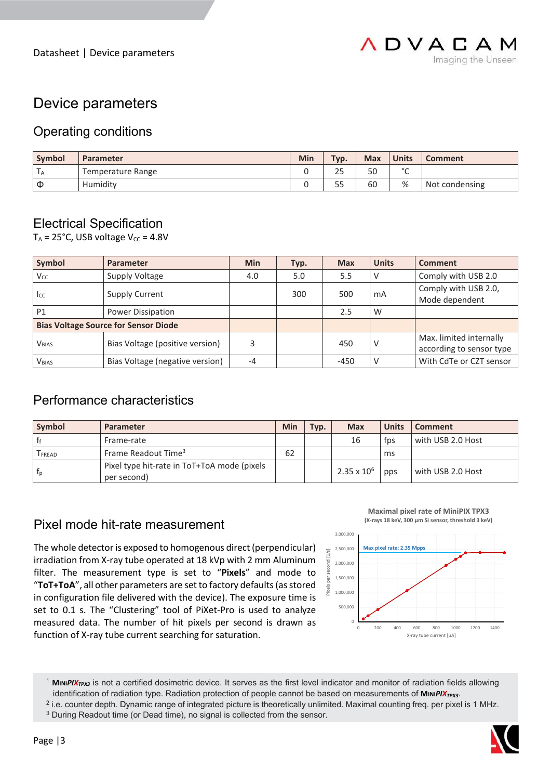

## Device parameters

### Operating conditions

| Symbol | Parameter         | Min | Typ.       | <b>Max</b> | <b>Units</b> | <b>Comment</b> |
|--------|-------------------|-----|------------|------------|--------------|----------------|
| I A    | Temperature Range |     | n r<br>25  | 50         | $\circ$<br>◡ |                |
| Φ      | Humidity          | ÷   | $ -$<br>לכ | 60         | %            | Not condensing |

### Electrical Specification

 $T_A$  = 25°C, USB voltage  $V_{CC}$  = 4.8V

| Symbol                                      | <b>Parameter</b>                | <b>Min</b> | Typ. | <b>Max</b> | <b>Units</b> | Comment                  |
|---------------------------------------------|---------------------------------|------------|------|------------|--------------|--------------------------|
| Vcc.                                        | Supply Voltage                  | 4.0        | 5.0  | 5.5        | V            | Comply with USB 2.0      |
|                                             | <b>Supply Current</b>           | 300        |      | 500        | mA           | Comply with USB 2.0,     |
| <sub>Icc</sub>                              |                                 |            |      |            |              | Mode dependent           |
| P <sub>1</sub><br>Power Dissipation         |                                 |            |      | 2.5        | W            |                          |
| <b>Bias Voltage Source for Sensor Diode</b> |                                 |            |      |            |              |                          |
| <b>V</b> <sub>BIAS</sub>                    | Bias Voltage (positive version) | 3          |      | 450        | V            | Max. limited internally  |
|                                             |                                 |            |      |            |              | according to sensor type |
| <b>V</b> BIAS                               | Bias Voltage (negative version) | $-4$       |      | $-450$     | v            | With CdTe or CZT sensor  |

### Performance characteristics

| Symbol       | <b>Parameter</b>                                           | Min | Typ. | <b>Max</b>         | <b>Units</b> | <b>Comment</b>    |
|--------------|------------------------------------------------------------|-----|------|--------------------|--------------|-------------------|
|              | Frame-rate                                                 |     |      | 16                 | tps          | with USB 2.0 Host |
| <b>FREAD</b> | Frame Readout Time <sup>3</sup>                            | 62  |      |                    | ms           |                   |
| Ťn           | Pixel type hit-rate in ToT+ToA mode (pixels<br>per second) |     |      | $2.35 \times 10^6$ | pps          | with USB 2.0 Host |

### Pixel mode hit-rate measurement

The whole detector is exposed to homogenous direct (perpendicular) irradiation from X-ray tube operated at 18 kVp with 2 mm Aluminum filter. The measurement type is set to "**Pixels**" and mode to "**ToT+ToA**", all other parameters are set to factory defaults (as stored in configuration file delivered with the device). The exposure time is set to 0.1 s. The "Clustering" tool of PiXet-Pro is used to analyze measured data. The number of hit pixels per second is drawn as function of X-ray tube current searching for saturation.





<sup>&</sup>lt;sup>1</sup> **MINIPIX<sub>TPX3</sub>** is not a certified dosimetric device. It serves as the first level indicator and monitor of radiation fields allowing identification of radiation type. Radiation protection of people cannot be based on measurements of MINIPIX<sub>*TPX3*</sub>.



<sup>2</sup> i.e. counter depth. Dynamic range of integrated picture is theoretically unlimited. Maximal counting freq. per pixel is 1 MHz.

<sup>&</sup>lt;sup>3</sup> During Readout time (or Dead time), no signal is collected from the sensor.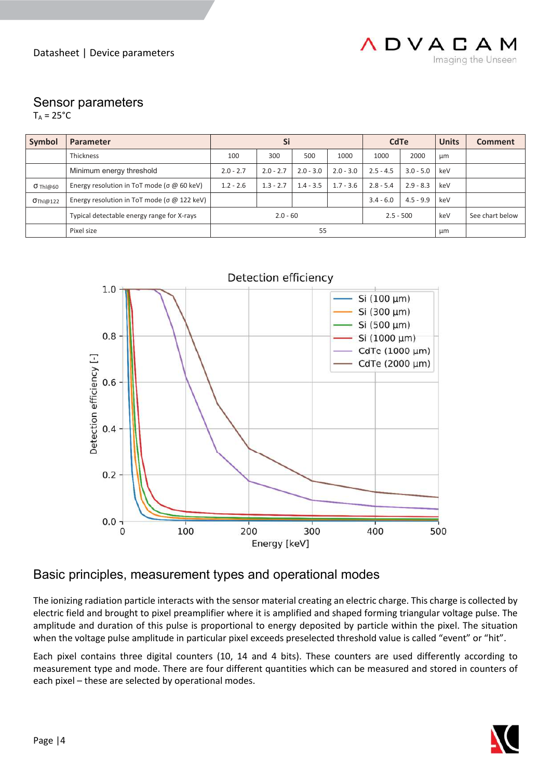

### Sensor parameters

 $T_A = 25$ °C

| Symbol                   | <b>Parameter</b>                                           | Si          |             |             | <b>CdTe</b> |             | <b>Units</b>    | <b>Comment</b> |  |
|--------------------------|------------------------------------------------------------|-------------|-------------|-------------|-------------|-------------|-----------------|----------------|--|
|                          | Thickness                                                  | 100         | 300         | 500         | 1000        | 1000        | 2000            | μm             |  |
| Minimum energy threshold |                                                            | $2.0 - 2.7$ | $2.0 - 2.7$ | $2.0 - 3.0$ | $2.0 - 3.0$ | $2.5 - 4.5$ | $3.0 - 5.0$     | keV            |  |
| $O$ Thi $@60$            | Energy resolution in ToT mode ( $\sigma$ $\omega$ 60 keV)  | $1.2 - 2.6$ | $1.3 - 2.7$ | $1.4 - 3.5$ | $1.7 - 3.6$ | $2.8 - 5.4$ | $2.9 - 8.3$     | keV            |  |
| OThI@122                 | Energy resolution in ToT mode ( $\sigma$ $\omega$ 122 keV) |             |             |             |             | $3.4 - 6.0$ | $4.5 - 9.9$     | keV            |  |
|                          | Typical detectable energy range for X-rays                 | $2.0 - 60$  |             | $2.5 - 500$ |             | keV         | See chart below |                |  |
|                          | Pixel size                                                 | 55          |             |             |             |             | μm              |                |  |



### Basic principles, measurement types and operational modes

The ionizing radiation particle interacts with the sensor material creating an electric charge. This charge is collected by electric field and brought to pixel preamplifier where it is amplified and shaped forming triangular voltage pulse. The amplitude and duration of this pulse is proportional to energy deposited by particle within the pixel. The situation when the voltage pulse amplitude in particular pixel exceeds preselected threshold value is called "event" or "hit".

Each pixel contains three digital counters (10, 14 and 4 bits). These counters are used differently according to measurement type and mode. There are four different quantities which can be measured and stored in counters of each pixel – these are selected by operational modes.

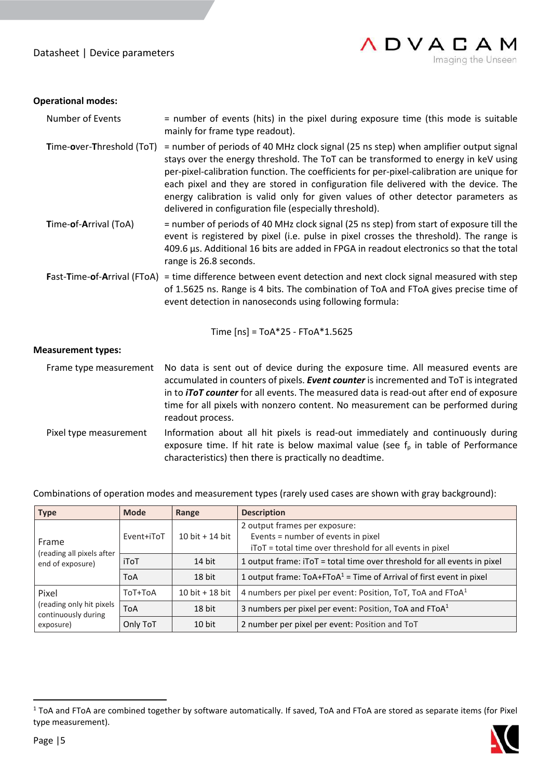Datasheet | Device parameters



### **Operational modes:**

| <b>Number of Events</b>   | = number of events (hits) in the pixel during exposure time (this mode is suitable<br>mainly for frame type readout).                                                                                                                                                                                                                                                                                                                                                                                          |
|---------------------------|----------------------------------------------------------------------------------------------------------------------------------------------------------------------------------------------------------------------------------------------------------------------------------------------------------------------------------------------------------------------------------------------------------------------------------------------------------------------------------------------------------------|
| Time-over-Threshold (ToT) | = number of periods of 40 MHz clock signal (25 ns step) when amplifier output signal<br>stays over the energy threshold. The ToT can be transformed to energy in keV using<br>per-pixel-calibration function. The coefficients for per-pixel-calibration are unique for<br>each pixel and they are stored in configuration file delivered with the device. The<br>energy calibration is valid only for given values of other detector parameters as<br>delivered in configuration file (especially threshold). |
| Time-of-Arrival (ToA)     | = number of periods of 40 MHz clock signal (25 ns step) from start of exposure till the<br>event is registered by pixel (i.e. pulse in pixel crosses the threshold). The range is<br>409.6 µs. Additional 16 bits are added in FPGA in readout electronics so that the total<br>range is 26.8 seconds.                                                                                                                                                                                                         |
|                           | Fast-Time-of-Arrival (FToA) = time difference between event detection and next clock signal measured with step<br>of 1.5625 ns. Range is 4 bits. The combination of ToA and FToA gives precise time of<br>event detection in nanoseconds using following formula:                                                                                                                                                                                                                                              |
|                           | Time $[ns] = ToA*25 - FToA*1.5625$                                                                                                                                                                                                                                                                                                                                                                                                                                                                             |
| <b>Measurement types:</b> |                                                                                                                                                                                                                                                                                                                                                                                                                                                                                                                |
| Frame type measurement    | No data is sent out of device during the exposure time. All measured events are<br>accumulated in counters of pixels. Event counter is incremented and ToT is integrated<br>in to <i>iToT counter</i> for all events. The measured data is read-out after end of exposure<br>time for all pixels with nonzero content. No measurement can be performed during<br>readout process.                                                                                                                              |
| Pixel type measurement    | Information about all hit pixels is read-out immediately and continuously during<br>exposure time. If hit rate is below maximal value (see $fp$ in table of Performance<br>characteristics) then there is practically no deadtime.                                                                                                                                                                                                                                                                             |

Combinations of operation modes and measurement types (rarely used cases are shown with gray background):

| <b>Type</b>                                     | <b>Mode</b> | Range             | <b>Description</b>                                                       |  |  |  |  |
|-------------------------------------------------|-------------|-------------------|--------------------------------------------------------------------------|--|--|--|--|
|                                                 | Event+iToT  | $10 bit + 14 bit$ | 2 output frames per exposure:<br>Events = number of events in pixel      |  |  |  |  |
| Frame<br>(reading all pixels after              |             |                   | iToT = total time over threshold for all events in pixel                 |  |  |  |  |
| end of exposure)                                | iToT        | 14 bit            | 1 output frame: iToT = total time over threshold for all events in pixel |  |  |  |  |
|                                                 | <b>ToA</b>  | 18 bit            | 1 output frame: $ToA + FToA^1 = Time$ of Arrival of first event in pixel |  |  |  |  |
| Pixel                                           | ToT+ToA     | 10 bit $+$ 18 bit | 4 numbers per pixel per event: Position, ToT, ToA and FToA <sup>1</sup>  |  |  |  |  |
| (reading only hit pixels<br>continuously during | <b>ToA</b>  | 18 bit            | 3 numbers per pixel per event: Position, ToA and FToA <sup>1</sup>       |  |  |  |  |
| exposure)                                       | Only ToT    | $10$ bit          | 2 number per pixel per event: Position and ToT                           |  |  |  |  |

<sup>&</sup>lt;sup>1</sup> ToA and FToA are combined together by software automatically. If saved, ToA and FToA are stored as separate items (for Pixel type measurement).

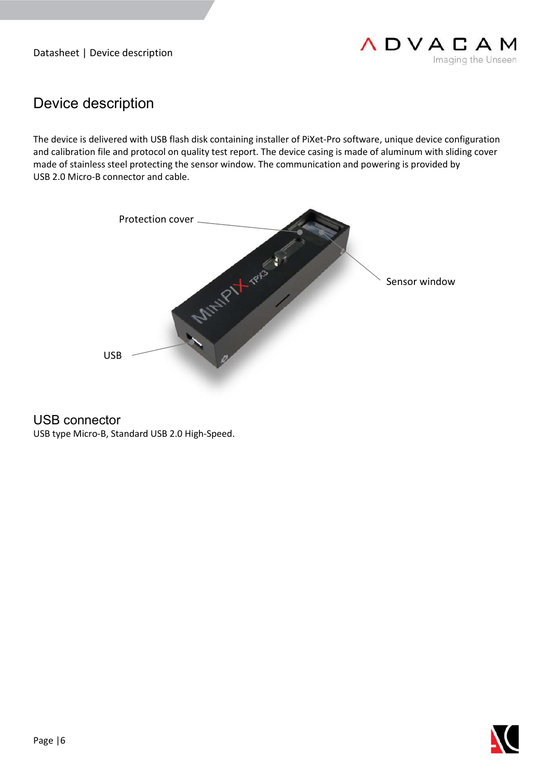Datasheet | Device description



# Device description

The device is delivered with USB flash disk containing installer of PiXet-Pro software, unique device configuration and calibration file and protocol on quality test report. The device casing is made of aluminum with sliding cover made of stainless steel protecting the sensor window. The communication and powering is provided by USB 2.0 Micro-B connector and cable.



USB connector

USB type Micro-B, Standard USB 2.0 High-Speed.

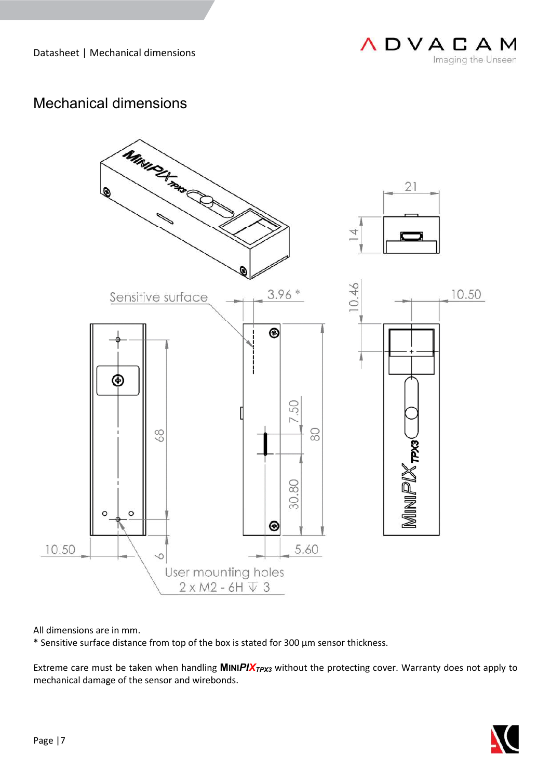

# Mechanical dimensions



All dimensions are in mm.

\* Sensitive surface distance from top of the box is stated for 300 µm sensor thickness.

Extreme care must be taken when handling **MINIPIX**<sub>*TPX3*</sub> without the protecting cover. Warranty does not apply to mechanical damage of the sensor and wirebonds.

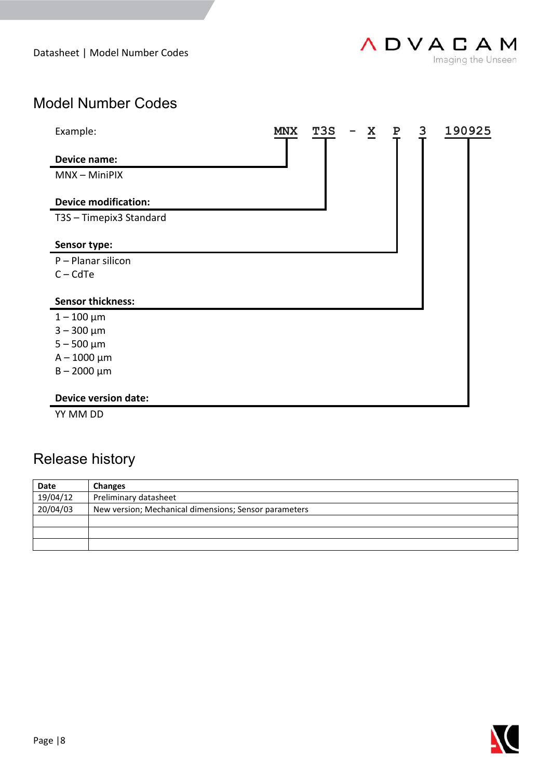Datasheet | Model Number Codes

# Model Number Codes

| Example:                    | MNX | T3S | X | $\mathbf P$ | 3 | 190925 |
|-----------------------------|-----|-----|---|-------------|---|--------|
| <b>Device name:</b>         |     |     |   |             |   |        |
| MNX - MiniPIX               |     |     |   |             |   |        |
| <b>Device modification:</b> |     |     |   |             |   |        |
| T3S - Timepix3 Standard     |     |     |   |             |   |        |
| Sensor type:                |     |     |   |             |   |        |
| P - Planar silicon          |     |     |   |             |   |        |
| $C - C dTe$                 |     |     |   |             |   |        |
| <b>Sensor thickness:</b>    |     |     |   |             |   |        |
| $1 - 100 \mu m$             |     |     |   |             |   |        |
| $3 - 300 \mu m$             |     |     |   |             |   |        |
| $5 - 500 \mu m$             |     |     |   |             |   |        |
| $A - 1000 \mu m$            |     |     |   |             |   |        |
| $B - 2000 \mu m$            |     |     |   |             |   |        |
| <b>Device version date:</b> |     |     |   |             |   |        |

YY MM DD

# Release history

| <b>Date</b> | <b>Changes</b>                                        |  |  |  |  |
|-------------|-------------------------------------------------------|--|--|--|--|
| 19/04/12    | Preliminary datasheet                                 |  |  |  |  |
| 20/04/03    | New version; Mechanical dimensions; Sensor parameters |  |  |  |  |
|             |                                                       |  |  |  |  |
|             |                                                       |  |  |  |  |
|             |                                                       |  |  |  |  |